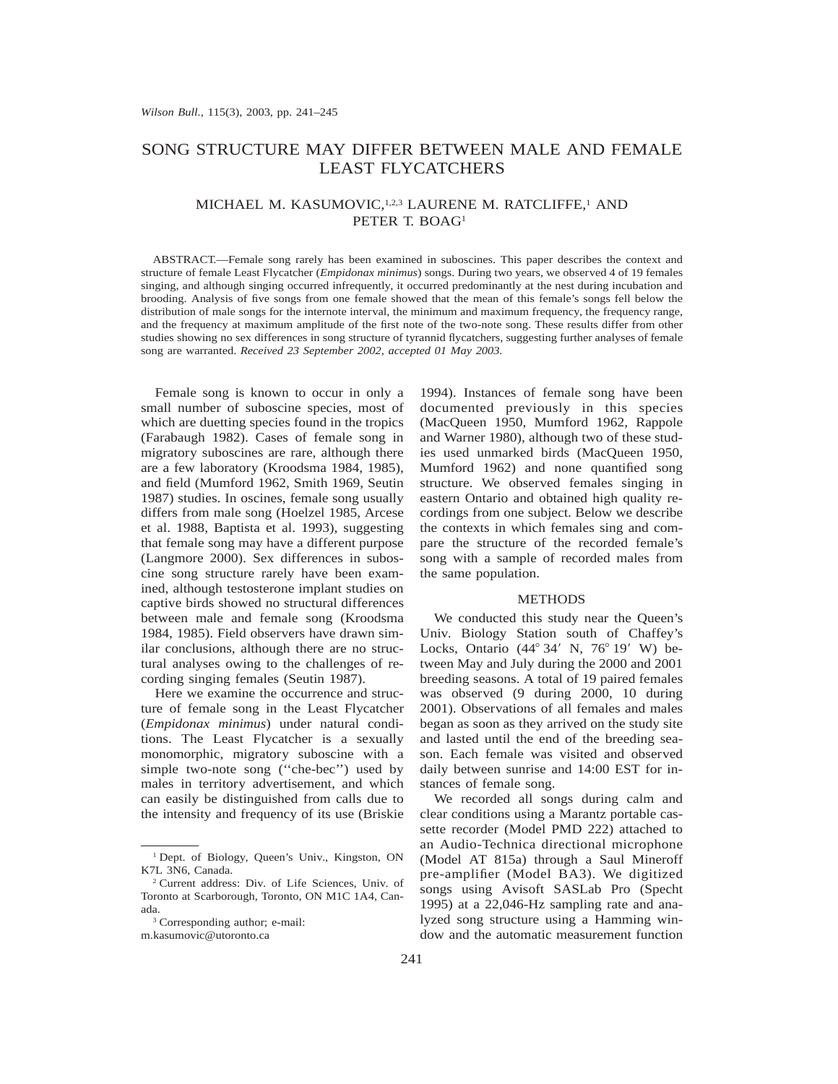# SONG STRUCTURE MAY DIFFER BETWEEN MALE AND FEMALE LEAST FLYCATCHERS

## MICHAEL M. KASUMOVIC,<sup>1,2,3</sup> LAURENE M. RATCLIFFE,<sup>1</sup> AND PETER T. BOAG<sup>1</sup>

ABSTRACT.—Female song rarely has been examined in suboscines. This paper describes the context and structure of female Least Flycatcher (*Empidonax minimus*) songs. During two years, we observed 4 of 19 females singing, and although singing occurred infrequently, it occurred predominantly at the nest during incubation and brooding. Analysis of five songs from one female showed that the mean of this female's songs fell below the distribution of male songs for the internote interval, the minimum and maximum frequency, the frequency range, and the frequency at maximum amplitude of the first note of the two-note song. These results differ from other studies showing no sex differences in song structure of tyrannid flycatchers, suggesting further analyses of female song are warranted. *Received 23 September 2002, accepted 01 May 2003.*

Female song is known to occur in only a small number of suboscine species, most of which are duetting species found in the tropics (Farabaugh 1982). Cases of female song in migratory suboscines are rare, although there are a few laboratory (Kroodsma 1984, 1985), and field (Mumford 1962, Smith 1969, Seutin 1987) studies. In oscines, female song usually differs from male song (Hoelzel 1985, Arcese et al. 1988, Baptista et al. 1993), suggesting that female song may have a different purpose (Langmore 2000). Sex differences in suboscine song structure rarely have been examined, although testosterone implant studies on captive birds showed no structural differences between male and female song (Kroodsma 1984, 1985). Field observers have drawn similar conclusions, although there are no structural analyses owing to the challenges of recording singing females (Seutin 1987).

Here we examine the occurrence and structure of female song in the Least Flycatcher (*Empidonax minimus*) under natural conditions. The Least Flycatcher is a sexually monomorphic, migratory suboscine with a simple two-note song (''che-bec'') used by males in territory advertisement, and which can easily be distinguished from calls due to the intensity and frequency of its use (Briskie

<sup>3</sup> Corresponding author; e-mail: m.kasumovic@utoronto.ca

1994). Instances of female song have been documented previously in this species (MacQueen 1950, Mumford 1962, Rappole and Warner 1980), although two of these studies used unmarked birds (MacQueen 1950, Mumford 1962) and none quantified song structure. We observed females singing in eastern Ontario and obtained high quality recordings from one subject. Below we describe the contexts in which females sing and compare the structure of the recorded female's song with a sample of recorded males from the same population.

#### **METHODS**

We conducted this study near the Queen's Univ. Biology Station south of Chaffey's Locks, Ontario  $(44^{\circ} 34' N, 76^{\circ} 19' W)$  between May and July during the 2000 and 2001 breeding seasons. A total of 19 paired females was observed (9 during 2000, 10 during 2001). Observations of all females and males began as soon as they arrived on the study site and lasted until the end of the breeding season. Each female was visited and observed daily between sunrise and 14:00 EST for instances of female song.

We recorded all songs during calm and clear conditions using a Marantz portable cassette recorder (Model PMD 222) attached to an Audio-Technica directional microphone (Model AT 815a) through a Saul Mineroff pre-amplifier (Model BA3). We digitized songs using Avisoft SASLab Pro (Specht 1995) at a 22,046-Hz sampling rate and analyzed song structure using a Hamming window and the automatic measurement function

<sup>1</sup> Dept. of Biology, Queen's Univ., Kingston, ON K7L 3N6, Canada.

<sup>2</sup> Current address: Div. of Life Sciences, Univ. of Toronto at Scarborough, Toronto, ON M1C 1A4, Canada.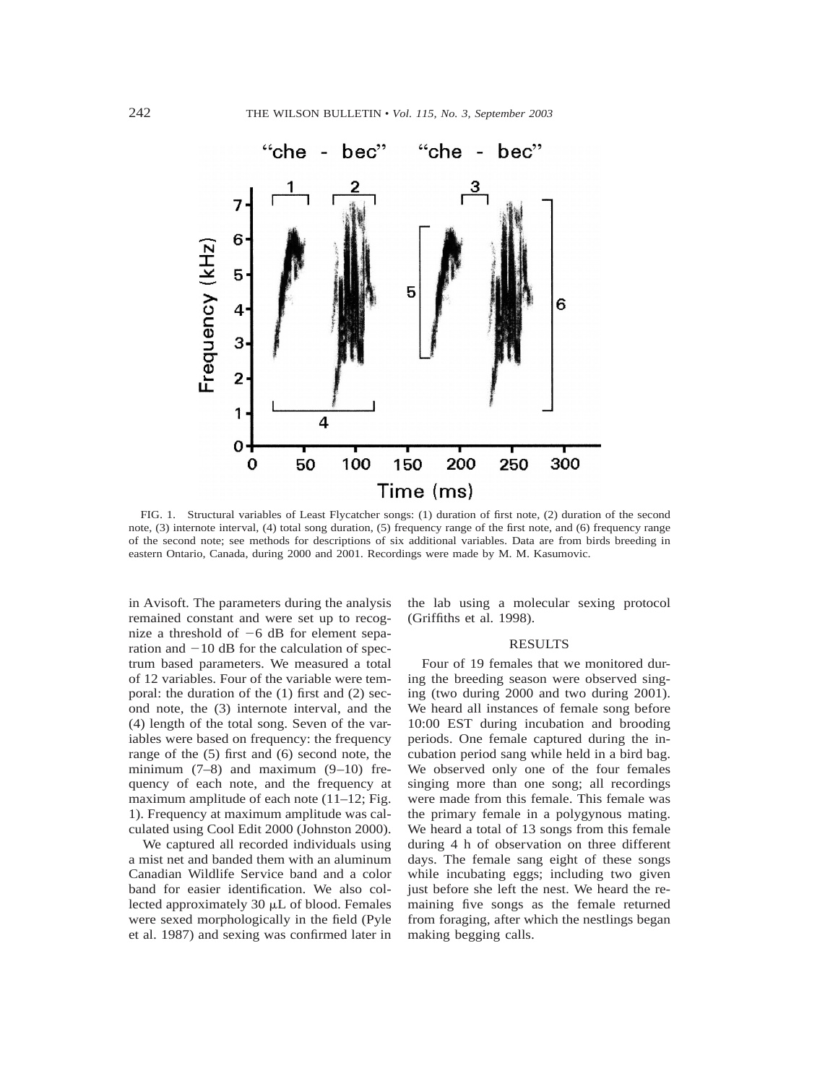

FIG. 1. Structural variables of Least Flycatcher songs: (1) duration of first note, (2) duration of the second note, (3) internote interval, (4) total song duration, (5) frequency range of the first note, and (6) frequency range of the second note; see methods for descriptions of six additional variables. Data are from birds breeding in eastern Ontario, Canada, during 2000 and 2001. Recordings were made by M. M. Kasumovic.

in Avisoft. The parameters during the analysis remained constant and were set up to recognize a threshold of  $-6$  dB for element separation and  $-10$  dB for the calculation of spectrum based parameters. We measured a total of 12 variables. Four of the variable were temporal: the duration of the (1) first and (2) second note, the (3) internote interval, and the (4) length of the total song. Seven of the variables were based on frequency: the frequency range of the (5) first and (6) second note, the minimum  $(7-8)$  and maximum  $(9-10)$  frequency of each note, and the frequency at maximum amplitude of each note (11–12; Fig. 1). Frequency at maximum amplitude was calculated using Cool Edit 2000 (Johnston 2000).

We captured all recorded individuals using a mist net and banded them with an aluminum Canadian Wildlife Service band and a color band for easier identification. We also collected approximately 30  $\mu$ L of blood. Females were sexed morphologically in the field (Pyle et al. 1987) and sexing was confirmed later in the lab using a molecular sexing protocol (Griffiths et al. 1998).

#### RESULTS

Four of 19 females that we monitored during the breeding season were observed singing (two during 2000 and two during 2001). We heard all instances of female song before 10:00 EST during incubation and brooding periods. One female captured during the incubation period sang while held in a bird bag. We observed only one of the four females singing more than one song; all recordings were made from this female. This female was the primary female in a polygynous mating. We heard a total of 13 songs from this female during 4 h of observation on three different days. The female sang eight of these songs while incubating eggs; including two given just before she left the nest. We heard the remaining five songs as the female returned from foraging, after which the nestlings began making begging calls.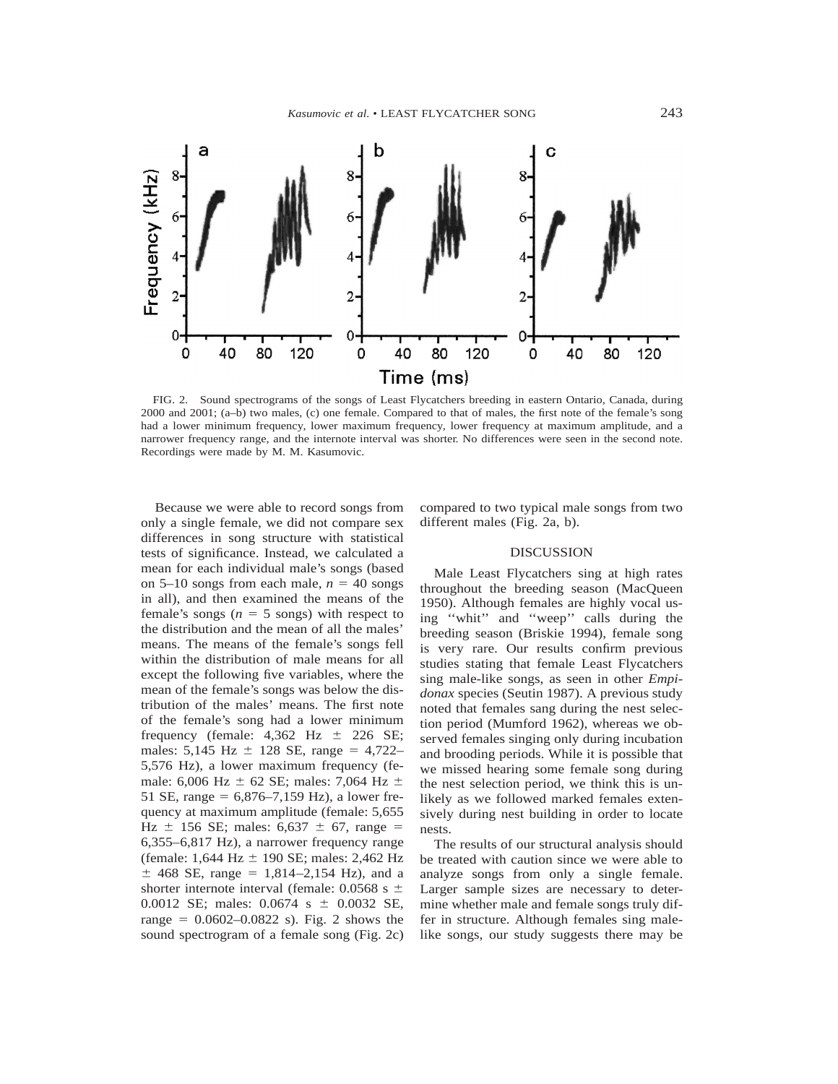

FIG. 2. Sound spectrograms of the songs of Least Flycatchers breeding in eastern Ontario, Canada, during 2000 and 2001; (a–b) two males, (c) one female. Compared to that of males, the first note of the female's song had a lower minimum frequency, lower maximum frequency, lower frequency at maximum amplitude, and a narrower frequency range, and the internote interval was shorter. No differences were seen in the second note. Recordings were made by M. M. Kasumovic.

Because we were able to record songs from only a single female, we did not compare sex differences in song structure with statistical tests of significance. Instead, we calculated a mean for each individual male's songs (based on 5–10 songs from each male,  $n = 40$  songs in all), and then examined the means of the female's songs  $(n = 5 \text{ songs})$  with respect to the distribution and the mean of all the males' means. The means of the female's songs fell within the distribution of male means for all except the following five variables, where the mean of the female's songs was below the distribution of the males' means. The first note of the female's song had a lower minimum frequency (female:  $4,362$  Hz  $\pm$  226 SE; males:  $5,145$  Hz  $\pm$  128 SE, range = 4,722– 5,576 Hz), a lower maximum frequency (female: 6,006 Hz  $\pm$  62 SE; males: 7,064 Hz  $\pm$ 51 SE, range =  $6,876-7,159$  Hz), a lower frequency at maximum amplitude (female: 5,655 Hz  $\pm$  156 SE; males: 6,637  $\pm$  67, range = 6,355–6,817 Hz), a narrower frequency range (female:  $1,644$  Hz  $\pm$  190 SE; males: 2,462 Hz  $\pm$  468 SE, range = 1,814–2,154 Hz), and a shorter internote interval (female: 0.0568 s  $\pm$ 0.0012 SE; males:  $0.0674 \text{ s } \pm 0.0032 \text{ SE}$ , range  $= 0.0602 - 0.0822$  s). Fig. 2 shows the sound spectrogram of a female song (Fig. 2c)

compared to two typical male songs from two different males (Fig. 2a, b).

#### DISCUSSION

Male Least Flycatchers sing at high rates throughout the breeding season (MacQueen 1950). Although females are highly vocal using ''whit'' and ''weep'' calls during the breeding season (Briskie 1994), female song is very rare. Our results confirm previous studies stating that female Least Flycatchers sing male-like songs, as seen in other *Empidonax* species (Seutin 1987). A previous study noted that females sang during the nest selection period (Mumford 1962), whereas we observed females singing only during incubation and brooding periods. While it is possible that we missed hearing some female song during the nest selection period, we think this is unlikely as we followed marked females extensively during nest building in order to locate nests.

The results of our structural analysis should be treated with caution since we were able to analyze songs from only a single female. Larger sample sizes are necessary to determine whether male and female songs truly differ in structure. Although females sing malelike songs, our study suggests there may be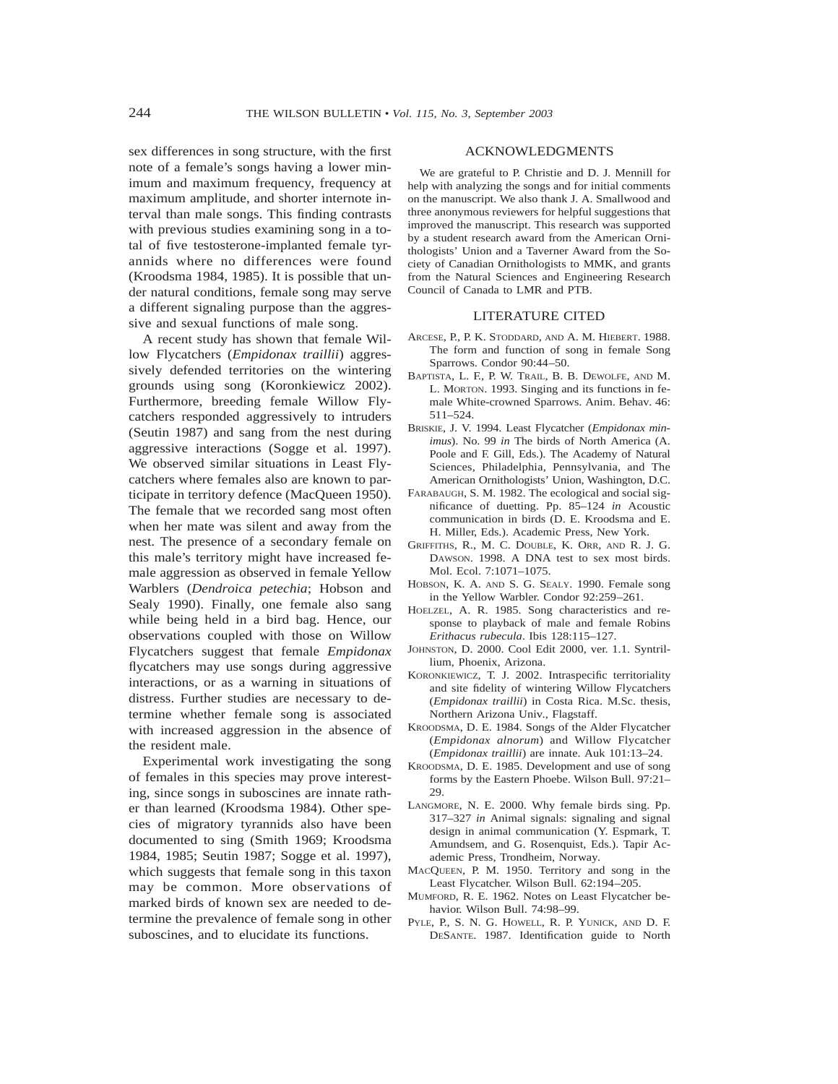sex differences in song structure, with the first note of a female's songs having a lower minimum and maximum frequency, frequency at maximum amplitude, and shorter internote interval than male songs. This finding contrasts with previous studies examining song in a total of five testosterone-implanted female tyrannids where no differences were found (Kroodsma 1984, 1985). It is possible that under natural conditions, female song may serve a different signaling purpose than the aggressive and sexual functions of male song.

A recent study has shown that female Willow Flycatchers (*Empidonax traillii*) aggressively defended territories on the wintering grounds using song (Koronkiewicz 2002). Furthermore, breeding female Willow Flycatchers responded aggressively to intruders (Seutin 1987) and sang from the nest during aggressive interactions (Sogge et al. 1997). We observed similar situations in Least Flycatchers where females also are known to participate in territory defence (MacQueen 1950). The female that we recorded sang most often when her mate was silent and away from the nest. The presence of a secondary female on this male's territory might have increased female aggression as observed in female Yellow Warblers (*Dendroica petechia*; Hobson and Sealy 1990). Finally, one female also sang while being held in a bird bag. Hence, our observations coupled with those on Willow Flycatchers suggest that female *Empidonax* flycatchers may use songs during aggressive interactions, or as a warning in situations of distress. Further studies are necessary to determine whether female song is associated with increased aggression in the absence of the resident male.

Experimental work investigating the song of females in this species may prove interesting, since songs in suboscines are innate rather than learned (Kroodsma 1984). Other species of migratory tyrannids also have been documented to sing (Smith 1969; Kroodsma 1984, 1985; Seutin 1987; Sogge et al. 1997), which suggests that female song in this taxon may be common. More observations of marked birds of known sex are needed to determine the prevalence of female song in other suboscines, and to elucidate its functions.

### ACKNOWLEDGMENTS

We are grateful to P. Christie and D. J. Mennill for help with analyzing the songs and for initial comments on the manuscript. We also thank J. A. Smallwood and three anonymous reviewers for helpful suggestions that improved the manuscript. This research was supported by a student research award from the American Ornithologists' Union and a Taverner Award from the Society of Canadian Ornithologists to MMK, and grants from the Natural Sciences and Engineering Research Council of Canada to LMR and PTB.

#### LITERATURE CITED

- ARCESE, P., P. K. STODDARD, AND A. M. HIEBERT. 1988. The form and function of song in female Song Sparrows. Condor 90:44–50.
- BAPTISTA, L. F., P. W. TRAIL, B. B. DEWOLFE, AND M. L. MORTON. 1993. Singing and its functions in female White-crowned Sparrows. Anim. Behav. 46: 511–524.
- BRISKIE, J. V. 1994. Least Flycatcher (*Empidonax minimus*). No. 99 *in* The birds of North America (A. Poole and F. Gill, Eds.). The Academy of Natural Sciences, Philadelphia, Pennsylvania, and The American Ornithologists' Union, Washington, D.C.
- FARABAUGH, S. M. 1982. The ecological and social significance of duetting. Pp. 85–124 *in* Acoustic communication in birds (D. E. Kroodsma and E. H. Miller, Eds.). Academic Press, New York.
- GRIFFITHS, R., M. C. DOUBLE, K. ORR, AND R. J. G. DAWSON. 1998. A DNA test to sex most birds. Mol. Ecol. 7:1071–1075.
- HOBSON, K. A. AND S. G. SEALY. 1990. Female song in the Yellow Warbler. Condor 92:259–261.
- HOELZEL, A. R. 1985. Song characteristics and response to playback of male and female Robins *Erithacus rubecula*. Ibis 128:115–127.
- JOHNSTON, D. 2000. Cool Edit 2000, ver. 1.1. Syntrillium, Phoenix, Arizona.
- KORONKIEWICZ, T. J. 2002. Intraspecific territoriality and site fidelity of wintering Willow Flycatchers (*Empidonax traillii*) in Costa Rica. M.Sc. thesis, Northern Arizona Univ., Flagstaff.
- KROODSMA, D. E. 1984. Songs of the Alder Flycatcher (*Empidonax alnorum*) and Willow Flycatcher (*Empidonax traillii*) are innate. Auk 101:13–24.
- KROODSMA, D. E. 1985. Development and use of song forms by the Eastern Phoebe. Wilson Bull. 97:21– 29.
- LANGMORE, N. E. 2000. Why female birds sing. Pp. 317–327 *in* Animal signals: signaling and signal design in animal communication (Y. Espmark, T. Amundsem, and G. Rosenquist, Eds.). Tapir Academic Press, Trondheim, Norway.
- MACQUEEN, P. M. 1950. Territory and song in the Least Flycatcher. Wilson Bull. 62:194–205.
- MUMFORD, R. E. 1962. Notes on Least Flycatcher behavior. Wilson Bull. 74:98–99.
- PYLE, P., S. N. G. HOWELL, R. P. YUNICK, AND D. F. DESANTE. 1987. Identification guide to North